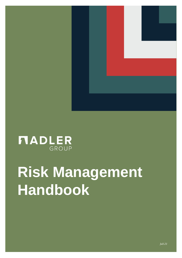

# **MADLER** GROUP

# **Risk Management Handbook**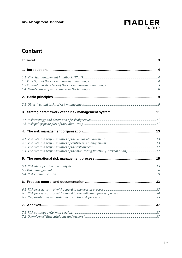

# **Content**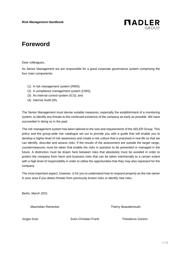

# <span id="page-2-0"></span>**Foreword**

Dear colleagues,

As Senior Management we are responsible for a good corporate governance system comprising the four main components:

- (1) A risk management system (RMS);
- (2) A compliance management system (CMS);
- (3) An internal control system (ICS); and
- (4) Internal Audit (IR).

The Senior Management must devise suitable measures, especially the establishment of a monitoring system, to identify any threats to the continued existence of the company as early as possible. We have succeeded in doing so in the past.

The risk management system has been tailored to the size and requirements of the ADLER Group. This policy and the group-wide risk catalogue set out to provide you with a guide that will enable you to develop a higher level of risk awareness and create a risk culture that is practised in real life so that we can identify, describe and assess risks. If the results of the assessment are outside the target range, countermeasures must be taken that enable the risks in question to be prevented or managed in the future. A distinction must be drawn here between risks that absolutely must be avoided in order to protect the company from harm and business risks that can be taken intentionally to a certain extent with a high level of responsibility in order to utilise the opportunities that they may also represent for the company.

The most important aspect, however, is for you to understand how to respond properly as the risk owner in your area if you detect threats from previously known risks or identify new risks.

Berlin, March 2021

Maximilian Rienecker Thierry Beaudemoulin

Jürgen Kutz Sven-Christian Frank Theodorus Gorens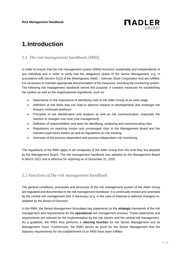

# **1.Introduction**

## *1.1 The risk management handbook (RMH)*

In order to ensure that the risk management system (RMS) functions sustainably and independently of any individual and in order to verify that the obligations duties of the Senior Management, e.g. in accordance with Section 91(2) of the Aktiengesetz (AktG – German Stock Corporation Act) are fulfilled, it is necessary to maintain appropriate documentation of the measures, including the monitoring system. The following risk management handbook serves this purpose. It contains measures for establishing the system as well as the organisational regulations, such as:

- Statements on the importance of identifying risks to the Adler Group at an early stage
- Definition of risk fields that can lead to adverse impacts or developments that endanger the Group's continued existence
- Principles of risk identification and analysis as well as risk communication, especially the reaction to changes over time (risk management)
- Definition of responsibilities and tasks for identifying, analysing and communicating risks
- Regulations on reporting known and unmanaged risks to the Management Board and the relevant supervisory bodies as well as regulations on risk tracking
- Overview of the process-dependent and process-independent risk monitoring

The regulations of the RMH apply to all companies of the Adler Group from the time they are adopted by the Management Board. The risk management handbook was adopted by the Management Board in March 2021 and is effective for reporting as of December 31, 2020.

### *1.2 Functions of the risk management handbook*

The general conditions, processes and structures of the risk management system of the Adler Group are regulated and documented in the risk management handbook. It is continually revised and amended by the central risk management and, if necessary (e.g. in the case of material or editorial changes) readopted by the Board of Directors.

In the RMH, the Senior Management formulates key statements on the **strategic** framework of the risk management and requirements for the **operational** risk management process. These statements and requirements are relevant for the implementation by the risk owners and the central risk management. As a guideline, the RMS thus performs a **steering function** for the Senior Management and its Management Team. Furthermore, the RMH serves as proof for the Senior Management that the statutory requirements for the establishment of an RMS have been fulfilled.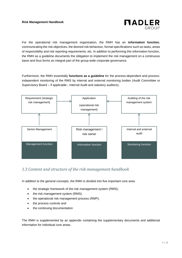

For the operational risk management organisation, the RMH has an **information function**, communicating the risk objectives, the desired risk behaviour, formal specifications such as tasks, areas of responsibility and risk reporting requirements, etc. In addition to performing this information function, the RMH as a guideline documents the obligation to implement the risk management on a continuous basis and thus forms an integral part of the group-wide corporate governance.

Furthermore, the RMH essentially **functions as a guideline** for the process-dependent and processindependent monitoring of the RMS by internal and external monitoring bodies (Audit Committee or Supervisory Board – if applicable-, Internal Audit and statutory auditors).



## *1.3 Content and structure of the risk management handbook*

In addition to the general concepts, the RMH is divided into five important core area:

- the strategic framework of the risk management system (RMS);
- the risk management system (RMS);
- the operational risk management process (RMP);
- the process controls and
- the continuing documentation

The RMH is supplemented by an appendix containing the supplementary documents and additional information for individual core areas.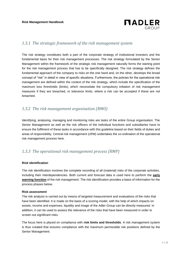

#### *1.3.1 The strategic framework of the risk management system*

The risk strategy constitutes both a part of the corporate strategy of institutional investors and the fundamental basis for their risk management processes. The risk strategy formulated by the Senior Management within the framework of the strategic risk management naturally forms the starting point for the risk management process that has to be specifically designed. The risk strategy defines the fundamental approach of the company to risks on the one hand and, on the other, develops the broad concept of "risk" in detail in view of specific situations. Furthermore, the policies for the operational risk management are defined within the context of the risk strategy, which include the specification of the maximum loss thresholds (limits), which necessitate the compulsory initiation of risk management measures if they are breached, or tolerance limits, where a risk can be accepted if these are not breached.

#### *1.3.2 The risk management organisation (RMO)*

Identifying, analysing, managing and monitoring risks are tasks of the entire Group organisation. The Senior Management as well as the risk officers of the individual functions and subsidiaries have to ensure the fulfilment of these tasks in accordance with this guideline based on their fields of duties and areas of responsibility. Central risk management (cRM) undertakes the co-ordination of the operational risk management process here.

#### *1.3.3 The operational risk management process (RMP)*

#### **Risk identification**

The risk identification involves the complete recording of all (material) risks of the corporate activities, including their interdependencies. Both current and forecast data is used here to perform the **early warning function** of the risk management. The risk identification provides a basis of information for the process phases below.

#### **Risk assessment**

The risk analysis is carried out by means of targeted measurement and evaluations of the risks that have been identified. It is made on the basis of a scoring model, with the help of which impacts on assets, income and expenses, liquidity and image of the Adler Group can be directly measured. In addition, it can be used to assess the relevance of the risks that have been measured in order to screen out significant risks.

The focus here is placed on compliance with **risk limits and thresholds**. A risk management system is thus created that ensures compliance with the maximum permissible risk positions defined by the Senior Management.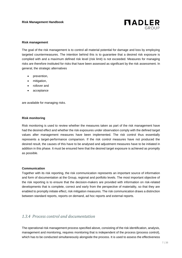

#### **Risk management**

The goal of the risk management is to control all material potential for damage and loss by employing targeted countermeasures. The intention behind this is to guarantee that a desired risk exposure is complied with and a maximum defined risk level (risk limit) is not exceeded. Measures for managing risks are therefore instituted for risks that have been assessed as significant by the risk assessment. In general, the strategic alternatives

- prevention,
- mitigation,
- rollover and
- acceptance

are available for managing risks.

#### **Risk monitoring**

Risk monitoring is used to review whether the measures taken as part of the risk management have had the desired effect and whether the risk exposures under observation comply with the defined target values after management measures have been implemented. The risk control thus essentially represents a target-performance comparison. If the risk control measures have not produced the desired result, the causes of this have to be analysed and adjustment measures have to be initiated in addition in this phase. It must be ensured here that the desired target exposure is achieved as promptly as possible.

#### **Communication**

Together with its risk reporting, the risk communication represents an important source of information and form of documentation at the Group, regional and portfolio levels. The most important objective of the risk reporting is to ensure that the decision-makers are provided with information on risk-related developments that is complete, correct and early from the perspective of materiality, so that they are enabled to promptly initiate effect, risk mitigation measures. The risk communication draws a distinction between standard reports, reports on demand, ad hoc reports and external reports.

#### *1.3.4 Process control and documentation*

The operational risk management process specified above, consisting of the risk identification, analysis, management and monitoring, requires monitoring that is independent of the process (process control), which has to be conducted simultaneously alongside the process. It is used to assess the effectiveness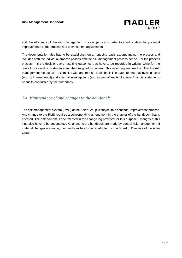

and the efficiency of the risk management process per se in order to identify ideas for potential improvements to the process and to implement adjustments.

The documentation also has to be established on an ongoing basis accompanying the process and includes both the individual process phases and the risk management process per se. For the process phases, it is the decisions and resulting outcomes that have to be recorded in writing, while for the overall process it is its structure and the design of its content. This recording ensures both that the risk management measures are complied with and that a reliable basis is created for internal investigations (e.g. by Internal Audit) and external investigations (e.g. as part of audits of annual financial statements or audits conducted by the authorities).

### *1.4 Maintenance of and changes to the handbook*

The risk management system (RMS) of the Adler Group is subject to a continual improvement process. Any change to the RMS requires a corresponding amendment in the chapter of the handbook that is affected. The amendment is documented in the change log provided for this purpose. Changes of this kind also have to be documented Changes to the handbook are made by central risk management. If material changes are made, the handbook has to be re-adopted by the Board of Directors of the Adler Group.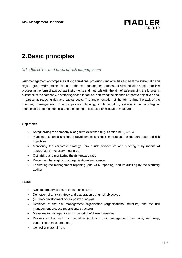

# **2.Basic principles**

#### *2.1 Objectives and tasks of risk management*

Risk management encompasses all organisational provisions and activities aimed at the systematic and regular group-wide implementation of the risk management process. It also includes support for this process in the form of appropriate instruments and methods with the aim of safeguarding the long-term existence of the company, developing scope for action, achieving the planned corporate objectives and, in particular, reducing risk and capital costs. The implementation of the RM is thus the task of the company management. It encompasses planning, implementation, decisions on avoiding or intentionally entering into risks and monitoring of suitable risk mitigation measures.

#### **Objectives**

- Safeguarding the company's long-term existence (e.g. Section 91(2) AktG)
- Mapping scenarios and future development and their implications for the corporate and risk objectives
- Monitoring the corporate strategy from a risk perspective and steering it by means of appropriate / necessary measures
- Optimising and monitoring the risk-reward ratio
- Preventing the suspicion of organisational negligence
- Facilitating the management reporting (and CSR reporting) and its auditing by the statutory auditor

#### **Tasks**

- (Continued) development of the risk culture
- Derivation of a risk strategy and elaboration using risk objectives
- (Further) development of risk policy principles
- Definition of the risk management organisation (organisational structure) and the risk management process (operational structure)
- Measures to manage risk and monitoring of these measures
- Process control and documentation (including risk management handbook, risk map, controlling of measures, etc.)
- Control of material risks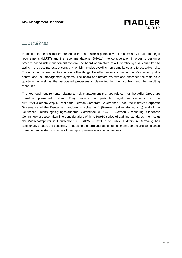

#### *2.2 Legal basis*

In addition to the possibilities presented from a business perspective, it is necessary to take the legal requirements (MUST) and the recommendations (SHALL) into consideration in order to design a practice-based risk management system. the board of directors of a Luxembourg S.A. committed to acting in the best interests of company, which includes avoiding non-compliance and foreseeable risks. The audit committee monitors, among other things, the effectiveness of the company's internal quality control and risk management systems. The board of directors reviews and assesses the main risks quarterly, as well as the associated processes implemented for their controls and the resulting measures.

The key legal requirements relating to risk management that are relevant for the Adler Group are therefore presented below. They include in particular legal requirements of the AktG/MAR/BörsenG/WpHG, while the German Corporate Governance Code, the Initiative Corporate Governance of the Deutsche Immobilienwirtschaft e.V. (German real estate industry) and of the Deutsches Rechnungslegungsstandards Committee (DRSC – German Accounting Standards Committee) are also taken into consideration. With its PS980 series of auditing standards, the Institut der Wirtschaftsprüfer in Deutschland e.V. (IDW – Institute of Public Auditors in Germany) has additionally created the possibility for auditing the form and design of risk management and compliance management systems in terms of their appropriateness and effectiveness.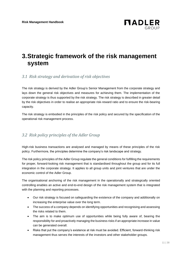

# **3.Strategic framework of the risk management system**

## *3.1 Risk strategy and derivation of risk objectives*

The risk strategy is derived by the Adler Group's Senior Management from the corporate strategy and lays down the general risk objectives and measures for achieving them. The implementation of the corporate strategy is thus supported by the risk strategy. The risk strategy is described in greater detail by the risk objectives in order to realise an appropriate risk-reward ratio and to ensure the risk-bearing capacity.

The risk strategy is embodied in the principles of the risk policy and secured by the specification of the operational risk management process.

## *3.2 Risk policy principles of the Adler Group*

High-risk business transactions are analysed and managed by means of these principles of the risk policy. Furthermore, the principles determine the company's risk landscape and strategy.

The risk policy principles of the Adler Group regulate the general conditions for fulfilling the requirements for proper, forward-looking risk management that is standardised throughout the group and for its full integration in the corporate strategy. It applies to all group units and joint ventures that are under the economic control of the Adler Group.

The organisational anchoring of the risk management in the operationally and strategically oriented controlling enables an active and end-to-end design of the risk management system that is integrated with the planning and reporting processes.

- Our risk strategy is focused on safeguarding the existence of the company and additionally on increasing the enterprise value over the long term.
- The success of a company depends on identifying opportunities and recognising and assessing the risks related to them.
- The aim is to make optimum use of opportunities while being fully aware of, bearing the responsibility for and proactively managing the business risks if an appropriate increase in value can be generated overall.
- Risks that put the company's existence at risk must be avoided. Efficient, forward-thinking risk management thus serves the interests of the investors and other stakeholder groups.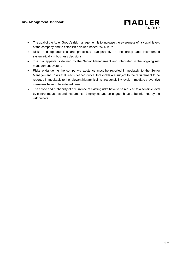

- The goal of the Adler Group's risk management is to increase the awareness of risk at all levels of the company and to establish a values-based risk culture.
- Risks and opportunities are processed transparently in the group and incorporated systematically in business decisions.
- The risk appetite is defined by the Senior Management and integrated in the ongoing risk management system.
- Risks endangering the company's existence must be reported immediately to the Senior Management. Risks that reach defined critical thresholds are subject to the requirement to be reported immediately to the relevant hierarchical risk responsibility level. Immediate preventive measures have to be initiated here.
- The scope and probability of occurrence of existing risks have to be reduced to a sensible level by control measures and instruments. Employees and colleagues have to be informed by the risk owners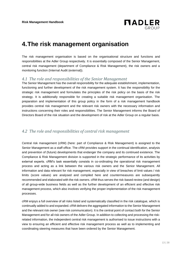

# **4.The risk management organisation**

The risk management organisation is based on the organisational structure and functions and responsibilities at the Adler Group respectively. It is essentially composed of the Senior Management, central risk management (department of Compliance & Risk Management), the risk owners and a monitoring function (Internal Audit (external)).

#### *4.1 The role and responsibilities of the Senior Management*

The Senior Management has the overall responsibility for the adequate establishment, implementation, functioning and further development of the risk management system. It has the responsibility for the strategic risk management and formulates the principles of the risk policy on the basis of the risk strategy. It is additionally responsible for creating a suitable risk management organisation. The preparation and implementation of this group policy in the form of a risk management handbook provides central risk management and the relevant risk owners with the necessary information and instructions concerning their roles and responsibilities. The Senior Management informs the Board of Directors Board of the risk situation and the development of risk at the Adler Group on a regular basis.

#### *4.2 The role and responsibilities of central risk management*

Central risk management (cRM) (here: part of Compliance & Risk Management) is assigned to the Senior Management as a staff office. The cRM provides support in the continual identification, analysis and prevention of (future) developments that endanger the company and its continued existence. The Compliance & Risk Management division is supported in the strategic performance of its activities by external experts. cRM's task essentially consists in co-ordinating the operational risk management process and acting as a link between the various risk owners and the Senior Management. All information and data relevant for risk management, especially in view of breaches of limit values / risk limits (score values) are analysed and compiled here and countermeasures are subsequently recommended and elaborated with the risk owners. cRM thus serves the risk-based review (and design) of all group-wide business fields as well as the further development of an efficient and effective risk management process, which also involves verifying the proper implementation of the risk management processes.

cRM enjoys a full overview of all risks listed and systematically classified in the risk catalogue, which is continually added to and expanded. cRM delivers the aggregated information to the Senior Management and the relevant risk owner (see risk communication). It is the central point of contact both for the Senior Management and for all risk owners of the Adler Group. In addition to collecting and processing the riskrelated information, the independent central risk management is authorised to issue instructions with a view to ensuring an efficient and effective risk management process as well as to implementing and coordinating steering measures that have been ordered by the Senior Management.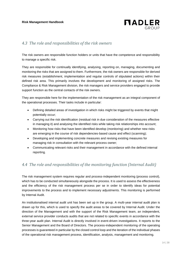

#### *4.3 The role and responsibilities of the risk owners*

The risk owners are responsible function holders or units that have the competence and responsibility to manage a specific risk.

They are responsible for continually identifying, analysing, reporting on, managing, documenting and monitoring the risks that are assigned to them. Furthermore, the risk owners are responsible for derived risk measures (establishment, implementation and regular controls of stipulated actions) within their defined risk area. This primarily involves the development and monitoring of assigned risks. The Compliance & Risk Management division, the risk managers and service providers engaged to provide support function as the central contacts of the risk owners.

They are responsible here for the implementation of the risk management as an integral component of the operational processes. Their tasks include in particular:

- Defining detailed areas of investigation in which risks might be triggered by events that might potentially occur;
- Carrying out the risk identification (residual risk in due consideration of the measures effective in managing it) and analysing the identified risks while taking risk relationships into account;
- Monitoring how risks that have been identified develop (monitoring) and whether new risks are emerging in the course of risk dependencies-based cause and effect (scanning);
- Developing and implementing concrete measures and revising existing measures for managing risk in consultation with the relevant process owner;
- Communicating relevant risks and their management in accordance with the defined internal reporting.

### *4.4 The role and responsibilities of the monitoring function (Internal Audit)*

The risk management system requires regular and process-independent monitoring (process control), which has to be conducted simultaneously alongside the process. It is used to assess the effectiveness and the efficiency of the risk management process per se in order to identify ideas for potential improvements to the process and to implement necessary adjustments. This monitoring is performed by Internal Audit.

An institutionalised internal audit unit has been set up in the group. A multi-year internal audit plan is drawn up for this, which is used to specify the audit areas to be covered by Internal Audit. Under the direction of the Management and with the support of the Risk Management team, an independent, external service provider conducts audits that are not related to specific events in accordance with the three-year audit plan. Internal Audit is directly involved in event-driven investigations. It reports to the Senior Management and the Board of Directors. The process-independent monitoring of the operating processes is guaranteed in particular by the closed control loop and the iteration of the individual phases of the operational risk management process, identification, analysis, management and monitoring.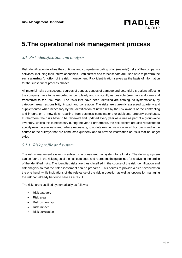

# **5.The operational risk management process**

#### *5.1 Risk identification and analysis*

Risk identification involves the continual and complete recording of all (material) risks of the company's activities, including their interrelationships. Both current and forecast data are used here to perform the **early warning function** of the risk management. Risk identification serves as the basis of information for the subsequent process phases.

All material risky transactions, sources of danger, causes of damage and potential disruptions affecting the company have to be recorded as completely and constantly as possible (see risk catalogue) and transferred to the "risk map". The risks that have been identified are catalogued systematically by category, area, responsibility, impact and correlation. The risks are currently assessed quarterly and supplemented when necessary by the identification of new risks by the risk owners or the contracting and integration of new risks resulting from business combinations or additional property purchases. Furthermore, the risks have to be reviewed and updated every year as a rule as part of a group-wide inventory, unless this is necessary during the year. Furthermore, the risk owners are also requested to specify new material risks and, where necessary, to update existing risks on an ad hoc basis and in the course of the surveys that are conducted quarterly and to provide information on risks that no longer exist.

#### *5.1.1 Risk profile and system*

The risk management system is subject to a consistent risk system for all risks. The defining system can be found in the risk pages of the risk catalogue and represent the guidelines for analysing the profile of the identified risks. The identified risks are thus classified in the course of the risk identification and risk analysis so that the risk assessment can be prepared. This serves to provide a clear overview on the one hand, while indications of the relevance of the risk in question as well as options for managing the risk can already be found here as a result.

The risks are classified systematically as follows:

- Risk category
- Risk area
- Risk ownership
- Risk impact
- Risk correlation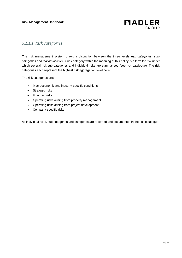

#### *5.1.1.1 Risk categories*

The risk management system draws a distinction between the three levels *risk categories*, *subcategories* and *individual risks*. A risk category within the meaning of this policy is a term for risk under which several risk sub-categories and individual risks are summarised (see risk catalogue). The risk categories each represent the highest risk aggregation level here.

The risk categories are:

- Macroeconomic and industry-specific conditions
- Strategic risks
- Financial risks
- Operating risks arising from property management
- Operating risks arising from project development
- Company-specific risks

All individual risks, sub-categories and categories are recorded and documented in the risk catalogue.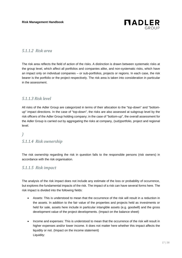

#### *5.1.1.2 Risk area*

The risk area reflects the field of action of the risks. A distinction is drawn between systematic risks at the group level, which affect all portfolios and companies alike, and non-systematic risks, which have an impact only on individual companies – or sub-portfolios, projects or regions. In each case, the risk bearer is the portfolio or the project respectively. The risk area is taken into consideration in particular in the assessment.

#### *5.1.1.3 Risk level*

All risks of the Adler Group are categorized in terms of their allocation to the "top-down" and "bottomup" impact directions. In the case of "top-down", the risks are also assessed at subgroup level by the risk officers of the Adler Group holding company; in the case of "bottom-up", the overall assessment for the Adler Group is carried out by aggregating the risks at company, (sub)portfolio, project and regional level.

#### *)*

### *5.1.1.4 Risk ownership*

The risk ownership regarding the risk in question falls to the responsible persons (risk owners) in accordance with the risk organisation.

#### *5.1.1.5 Risk impact*

The analysis of the risk impact does not include any estimate of the loss or probability of occurrence, but explores the fundamental impacts of the risk. The impact of a risk can have several forms here. The risk impact is divided into the following fields:

- Assets: This is understood to mean that the occurrence of the risk will result in a reduction in the assets. In addition to the fair value of the properties and projects held as investments or held for sale, assets here include in particular intangible assets (e.g. goodwill) and the gross development value of the project developments. (Impact on the balance sheet)
- Income and expenses: This is understood to mean that the occurrence of the risk will result in higher expenses and/or lower income. It does not matter here whether this impact affects the liquidity or not. (Impact on the income statement) Liquidity: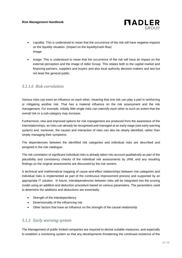

- Liquidity: This is understood to mean that the occurrence of the risk will have negative impacts on the liquidity situation. (Impact on the liquidity/cash flow) Image:
- Image: This is understood to mean that the occurrence of the risk will have an impact on the external perception and the image of Adler Group. This relates both to the capital market and financing partners, suppliers and buyers and also local authority decision-makers and last but not least the general public.

#### *5.1.1.6 Risk correlation*

Various risks can exert an influence on each other, meaning that one risk can play a part in reinforcing or mitigating another risk. That has a material influence on the risk assessment and the risk management. For example, initially little single risks can intensify each other to such an extent that the overall risk or a sub-category may increase.

Furthermore, new and improved options for risk management are produced from the awareness of the interrelationships, as risks can already be recognised and managed at an early stage (see early warning system) and, moreover, the causes and interaction of risks can also be clearly identified, rather than simply managing their symptoms.

The dependencies between the identified risk categories and individual risks are described and assigned in the risk catalogue.

The risk correlation of significant individual risks is already taken into account qualitatively as part of the plausibility and consistency checks of the individual risk assessments by zRM, and any resulting findings on the original assessments are discussed by the risk owners.

A technical and mathematical mapping of cause-and-effect relationships between risk categories and individual risks is implemented as part of the continuous improvement process and supported by an appropriate IT solution. In future, interdependencies between risks will be integrated into the scoring model using an addition and deduction procedure based on various parameters. The parameters used to determine the additions and deductions are essentially:

- Strength of the interdependency
- Dimensionality of the influencing risk
- Other factors that have an influence on the strength of the causal relationship

#### *5.1.2 Early warning system*

The Management of public limited companies are required to devise suitable measures, and especially to establish a monitoring system so that any developments threatening the continued existence of the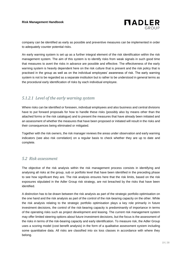

company can be identified as early as possible and preventive measures can be implemented in order to adequately counter potential risks.

An early warning system is set up as a further integral element of the risk identification within the risk management system. The aim of this system is to identify risks from weak signals in such good time that measures to avert the risks in advance are possible and effective. The effectiveness of the early warning system is heavily dependent here on the risk culture that is present and the risk policy that is practised in the group as well as on the individual employees' awareness of risk. The early warning system is not to be regarded as a separate institution but is rather to be understood in general terms as the procedural early identification of risks by each individual employee.

### *5.1.2.1 Level of the early warning system*

Where risks can be identified or foreseen, individual employees and also business and central divisions have to put forward proposals for how to handle these risks (possibly also by means other than the attached forms or the risk catalogue) and to present the measures that have already been initiated and an assessment of whether the measures that have been proposed or initiated will result in the risks and their consequences being eliminated or mitigated.

Together with the risk owners, the risk manager reviews the areas under observation and early warning indicators (see also risk correlation) on a regular basis to check whether they are up to date and complete.

#### *5.2 Risk assessment*

The objective of the risk analysis within the risk management process consists in identifying and analysing all risks at the group, sub or portfolio level that have been identified in the preceding phase to see how significant they are. The risk analysis ensures here that the risk limits, based on the risk exposures stipulated in the Adler Group risk strategy, are not breached by the risks that have been identified.

A distinction has to be drawn between the risk analysis as part of the strategic portfolio optimisation on the one hand and the risk analysis as part of the control of the risk-bearing capacity on the other. While the risk analysis relating to the strategic portfolio optimisation plays a key role primarily in future investment decisions, the control of the risk-bearing capacity is predominantly of importance in terms of the operating risks such as project development and leasing. The current risk management system may offer limited steering options about future investment decisions, but the focus is the assessment of the risks in terms of the risk-bearing capacity and early identification. To measure risk, the Adler Group uses a scoring model (cost benefit analysis) in the form of a qualitative assessment system including some quantitative data. All risks are classified into six loss classes in accordance with where they belong.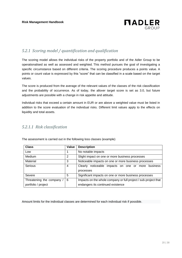

## *5.2.1 Scoring model / quantification and qualification*

The scoring model allows the individual risks of the property portfolio and of the Adler Group to be operationalised as well as assessed and weighted. This method pursues the goal of investigating a specific circumstance based on different criteria. The scoring procedure produces a points value. A points or count value is expressed by this "score" that can be classified in a scale based on the target values.

The score is produced from the average of the relevant values of the classes of the risk classification and the probability of occurrence. As of today, the allover target score is set as 3.0, but future adjustments are possible with a change in risk appetite and attitude.

Individual risks that exceed a certain amount in EUR or are above a weighted value must be listed in addition to the score evaluation of the individual risks. Different limit values apply to the effects on liquidity and total assets.

#### *5.2.1.1 Risk classification*

| <b>Class</b>            | Value | <b>Description</b>                                              |
|-------------------------|-------|-----------------------------------------------------------------|
| Low                     |       | No notable impacts                                              |
| <b>Medium</b>           | 2     | Slight impact on one or more business processes                 |
| Material                | 3     | Noticeable impacts on one or more business processes            |
| Serious                 | 4     | noticeable impacts on one or more<br>Clearly<br>business        |
|                         |       | processes                                                       |
| Severe                  | 5     | Significant impacts on one or more business processes           |
| Threatening the company | 6     | Impacts on the whole company or full project / sub-project that |
| portfolio / project     |       | endangers its continued existence                               |

The assessment is carried out in the following loss classes (example)

Amount limits for the individual classes are determined for each individual risk if possible.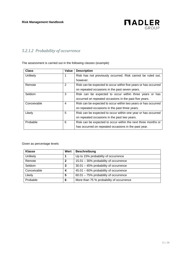

## *5.2.1.2 Probability of occurrence*

The assessment is carried out in the following classes (example)

| <b>Class</b> | Value | <b>Description</b>                                              |
|--------------|-------|-----------------------------------------------------------------|
| Unlikely     | 1     | Risk has not previously occurred. Risk cannot be ruled out,     |
|              |       | however.                                                        |
| Remote       | 2     | Risk can be expected to occur within five years or has occurred |
|              |       | on repeated occasions in the past seven years.                  |
| Seldom       | 3     | Risk can be expected to occur within three years or has         |
|              |       | occurred on repeated occasions in the past five years.          |
| Conceivable  | 4     | Risk can be expected to occur within two years or has occurred  |
|              |       | on repeated occasions in the past three years.                  |
| Likely       | 5     | Risk can be expected to occur within one year or has occurred   |
|              |       | on repeated occasions in the past two years.                    |
| Probable     | 6     | Risk can be expected to occur within the next three months or   |
|              |       | has occurred on repeated occasions in the past year.            |

#### Given as percentage levels

| <b>Klasse</b> | Wert | <b>Beschreibung</b>                      |
|---------------|------|------------------------------------------|
| Unlikely      |      | Up to 15% probability of occurrence      |
| Remote        | 2    | 15.01 - 30% probability of occurrence    |
| Seldom        | 3    | 30.01 - 45% probability of occurrence    |
| Conceivable   | 4    | 45.01 - 60% probability of occurrence    |
| Likely        | 5    | 60.01 - 75% probability of occurrence    |
| Probable      | 6    | More than 75 % probability of occurrence |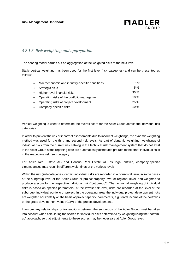

## *5.2.1.3 Risk weighting and aggregation*

The scoring model carries out an aggregation of the weighted risks to the next level.

Static vertical weighting has been used for the first level (risk categories) and can be presented as follows:

| Macroeconomic and industry-specific conditions | $15 \%$ |
|------------------------------------------------|---------|
| Strategic risks                                | 5%      |
| Higher-level financial risks                   | 35%     |
| Operating risks of the portfolio management    | $10\%$  |
| Operating risks of project development         | 25%     |
| Company-specific risks                         | 10 $%$  |

Vertical weighting is used to determine the overall score for the Adler Group across the individual risk categories.

In order to prevent the risk of incorrect assessments due to incorrect weightings, the dynamic weighting method was used for the third and second risk levels. As part of dynamic weighting, weightings of individual risks from the current risk catalog in the technical risk management system that do not exist in the Adler Group at the reporting date are automatically distributed pro rata to the other individual risks in the respective risk (sub)category.

For Adler Real Estate AG and Consus Real Estate AG as legal entities, company-specific circumstances may result in different weightings at the various levels.

Within the risk (sub)categories, certain individual risks are recorded in a horizontal view, in some cases at the subgroup level of the Adler Group or project/property level or regional level, and weighted to produce a score for the respective individual risk ("bottom-up"). The horizontal weighting of individual risks is based on specific parameters. At the lowest risk level, risks are recorded at the level of the subgroup, individual portfolio or project. In the operating area, the individual project development risks are weighted horizontally on the basis of project-specific parameters, e.g. rental income of the portfolios or the gross development value (GDV) of the project developments.

Intercompany relationships or transactions between the subgroups of the Adler Group must be taken into account when calculating the scores for individual risks determined by weighting using the "bottomup" approach, so that adjustments to these scores may be necessary at Adler Group level.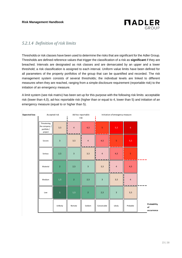

#### *5.2.1.4 Definition of risk limits*

Thresholds or risk classes have been used to determine the risks that are significant for the Adler Group. Thresholds are defined reference values that trigger the classification of a risk as **significant** if they are breached. Intervals are designated as risk classes and are demarcated by an upper and a lower threshold; a risk classification is assigned to each interval. Uniform value limits have been defined for all parameters of the property portfolios of the group that can be quantified and recorded. The risk management system consists of several thresholds; the individual levels are linked to different measures when they are reached, ranging from a simple disclosure requirement (reportable risk) to the initiation of an emergency measure.

A limit system (see risk matrix) has been set up for this purpose with the following risk limits: acceptable risk (lower than 4,0), ad-hoc reportable risk (higher than or equal to 4, lower than 5) and initiation of an emergency measure (equal to or higher than 5).

| <b>Expected loss</b> |                                                        | Accepted risk           | Ad-hoc reportable<br>risk |                | Initiation of emergency measure |                         |                         |                                 |
|----------------------|--------------------------------------------------------|-------------------------|---------------------------|----------------|---------------------------------|-------------------------|-------------------------|---------------------------------|
|                      | Threatening<br>the company /<br>portfolio /<br>project | 3,5                     | $\overline{4}$            | 4,5            | $\overline{\mathbf{5}}$         | 5,5                     | $\sqrt{6}$              |                                 |
|                      | Severe                                                 | $\overline{\mathbf{3}}$ | 3,5                       | $\overline{4}$ | 4,5                             | $\overline{\mathbf{5}}$ | 5,5                     |                                 |
|                      | Serious                                                | $2,5$                   | $\overline{3}$            | 3,5            | $\overline{4}$                  | $4,5$                   | $\overline{\mathbf{5}}$ |                                 |
|                      | Material                                               | $\overline{2}$          | $2,5$                     | 3              | 3,5                             | $\overline{4}$          | $\mathbf{4,}5$          |                                 |
|                      | Medium                                                 | 1,5                     | $\sqrt{2}$                | 2,5            | $\overline{\mathbf{3}}$         | 3,5                     | $\overline{4}$          |                                 |
|                      | Low                                                    | $\mathbf 1$             | 1,5                       | $\overline{2}$ | $2,5$                           | $\mathsf 3$             | 3,5                     |                                 |
|                      |                                                        | Unlikely                | Remote                    | Seldom         | Conceivable                     | Likely                  | Probable                | Probability<br>of<br>occurrence |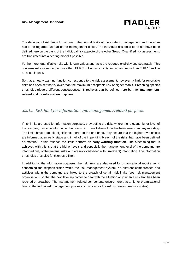

The definition of risk limits forms one of the central tasks of the strategic management and therefore has to be regarded as part of the management duties. The individual risk limits to be set have been defined here on the basis of the individual risk appetite of the Adler Group. Quantified risk assessments are translated into a scoring model if possible.

Furthermore, quantifiable risks with known values and facts are reported explicitly and separately. This concerns risks valued at / at more than EUR 5 million as liquidity impact and more than EUR 10 million as asset impact.

So that an early warning function corresponds to the risk assessment, however, a limit for reportable risks has been set that is lower than the maximum acceptable risk of higher than 4. Breaching specific thresholds triggers different consequences. Thresholds can be defined here both for **managementrelated** and for **information** purposes.

### *5.2.1.5 Risk limit for information and management-related purposes*

If risk limits are used for information purposes, they define the risks where the relevant higher level of the company has to be informed or the risks which have to be included in the internal company reporting. The limits have a double significance here: on the one hand, they ensure that the higher-level offices are informed at an early stage and in full of the impending breach of the risks that have been defined as material. In this respect, the limits perform an **early warning function**. The other thing that is achieved with this is that the higher levels and especially the management level of the company are informed only of the material risks and are not overloaded with (irrelevant) information. The information thresholds thus also function as a filter.

In addition to the information purposes, the risk limits are also used for organisational requirements concerning the responsibilities within the risk management system, as different competences and activities within the company are linked to the breach of certain risk limits (see risk management organisation), so that the next level up comes to deal with the situation only when a risk limit has been reached or breached. The management-related components ensure here that a higher organisational level in the further risk management process is involved as the risk increases (see risk matrix).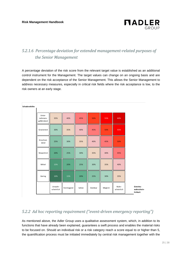**Schadenshöhe**



## *5.2.1.6 Percentage deviation for extended management-related purposes of the Senior Management*

A percentage deviation of the risk score from the relevant target value is established as an additional control instrument for the Management. The target values can change on an ongoing basis and are dependent on the risk acceptance of the Senior Management. This allows the Senior Management to address necessary measures, especially in critical risk fields where the risk acceptance is low, to the risk owners at an early stage.

| Unter-<br>nehmens-<br>gefährdend | 35%                   | 40%         | 45%    | 50%     | 55%     | 60%                 |                                       |
|----------------------------------|-----------------------|-------------|--------|---------|---------|---------------------|---------------------------------------|
| Gravierend                       | 30%                   | 35%         | 40%    | 45%     | 50%     | 55%                 |                                       |
| Einschnei-<br>dend               | 25%                   | 30%         | 35%    | 40%     | 45%     | 50%                 |                                       |
| Wesentlich                       | 20%                   | 25%         | 30%    | 35%     | 40%     | 45%                 |                                       |
| Mittel                           | 15%                   | 20%         | 25%    | 30%     | 35%     | 40%                 |                                       |
| Gering                           | 10%                   | 15%         | 20%    | 25%     | 30%     | 35%                 |                                       |
|                                  | Unwahr-<br>scheinlich | Fernliegend | Selten | Denkbar | Möglich | Wahr-<br>scheinlich | Eintritts-<br>wahrschein-<br>lichkeit |

## *5.2.2 Ad hoc reporting requirement ("event-driven emergency reporting")*

As mentioned above, the Adler Group uses a qualitative assessment system, which, in addition to its functions that have already been explained, guarantees a swift process and enables the material risks to be focused on. Should an individual risk or a risk category reach a score equal to or higher than 5, the quantification process must be initiated immediately by central risk management together with the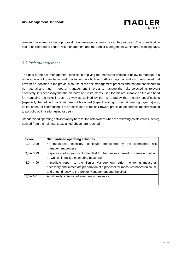

relevant risk owner so that a proposal for an emergency measure can be produced. The quantification has to be reported to central risk management and the Senior Management within three working days.

#### *5.3 Risk management*

The goal of the risk management consists in applying the measures described below to manage in a targeted way all quantitative and qualitative risks both at portfolio, regional and also group level that have been identified in the previous course of the risk management process and that are considered to be material and thus in need of management. In order to manage the risks selected as relevant effectively, it is necessary that the methods and instruments used for this are suitable on the one hand for managing the risks in such as way as defined by the risk strategy that the risk specifications (especially the defined risk limits) are not breached (aspect relating to the risk-bearing capacity) and, on the other, for contributing to the optimisation of the risk-reward profile of the portfolio (aspect relating to portfolio optimisation using targets).

Standardised operating activities apply here for the risk owners when the following points values (score), derived from the risk matrix explained above, are reached:

| <b>Score</b> | <b>Standardised operating activities</b>                                       |  |  |  |  |  |
|--------------|--------------------------------------------------------------------------------|--|--|--|--|--|
| $1.0 - 2,99$ | measures necessary, continued monitoring by the operational<br>risk<br>no.     |  |  |  |  |  |
|              | management process.                                                            |  |  |  |  |  |
| $3,0 - 3,99$ | preparation of a proposal to the cRM for the measure based on cause and effect |  |  |  |  |  |
|              | as well as intensive monitoring measures                                       |  |  |  |  |  |
| $4.0 - 4.99$ | immediate report to the Senior Management, strict monitoring measures          |  |  |  |  |  |
|              | necessary and immediate preparation of a proposal for measures based on cause  |  |  |  |  |  |
|              | and effect directly to the Senior Management and the cRM.                      |  |  |  |  |  |
| $5,0 - 6,0$  | Additionally, initiation of emergency measures                                 |  |  |  |  |  |
|              |                                                                                |  |  |  |  |  |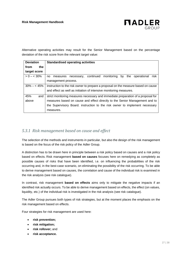

Alternative operating activities may result for the Senior Management based on the percentage deviation of the risk score from the relevant target value:

| <b>Deviation</b> | <b>Standardised operating activities</b>                                           |  |  |  |  |  |  |  |
|------------------|------------------------------------------------------------------------------------|--|--|--|--|--|--|--|
| from<br>the.     |                                                                                    |  |  |  |  |  |  |  |
| target score     |                                                                                    |  |  |  |  |  |  |  |
| $> 0 - 30\%$     | continued<br>monitoring by the operational<br>risk<br>necessary,<br>no<br>measures |  |  |  |  |  |  |  |
|                  | management process.                                                                |  |  |  |  |  |  |  |
| $30\% - 5.45\%$  | instruction to the risk owner to prepare a proposal on the measure based on cause  |  |  |  |  |  |  |  |
|                  | and effect as well as initiation of intensive monitoring measures.                 |  |  |  |  |  |  |  |
| 45%<br>and       | strict monitoring measures necessary and immediate preparation of a proposal for   |  |  |  |  |  |  |  |
| above            | measures based on cause and effect directly to the Senior Management and to        |  |  |  |  |  |  |  |
|                  | the Supervisory Board. instruction to the risk owner to implement necessary        |  |  |  |  |  |  |  |
|                  | measures.                                                                          |  |  |  |  |  |  |  |

#### *5.3.1 Risk management based on cause and effect*

The selection of the methods and instruments in particular, but also the design of the risk management is based on the focus of the risk policy of the Adler Group.

A distinction has to be drawn here in principle between a risk policy based on causes and a risk policy based on effects. Risk management **based on causes** focuses here on remedying as completely as possible causes of risks that have been identified, i.e. on influencing the probabilities of the risk occurring and, in the best-case scenario, on eliminating the possibility of the risk occurring. To be able to derive management based on causes, the correlation and cause of the individual risk is examined in the risk analysis (see risk catalogue).

In contrast, risk management **based on effects** aims only to mitigate the negative impacts if an identified risk actually occurs. To be able to derive management based on effects, the effect (on values, liquidity, etc.) of the individual risk is investigated in the risk analysis (see risk catalogue).

The Adler Group pursues both types of risk strategies, but at the moment places the emphasis on the risk management based on effects.

Four strategies for risk management are used here:

- **risk prevention;**
- **risk mitigation;**
- **risk rollover;** and
- **risk acceptance.**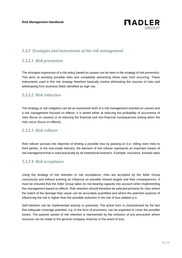

#### *5.3.2 Strategies and instruments of the risk management*

#### *5.3.2.1 Risk prevention*

The strongest expression of a risk policy based on causes can be seen in the strategy of risk prevention. This aims at avoiding possible risks and completely preventing these risks from occurring. These instruments used in this risk strategy therefore basically involve eliminating the sources of risks and withdrawing from business fields identified as high risk.

#### *5.3.2.2 Risk reduction*

The strategy or risk mitigation can be an expression both of a risk management oriented on causes and a risk management focused on effects. It is aimed either at reducing the probability of occurrence of risks (focus on causes) or at reducing the financial and non-financial consequences arising when the risks occur (focus on effects).

#### *5.3.2.3 Risk rollover*

Risk rollover pursues the objective of limiting a possible loss by passing on (i.e. rolling over) risks to third parties. In the real estate industry, the element of risk rollover represents an important means of risk management that is used practically by all institutional investors. Example: insurance, forward sales

#### *5.3.2.4 Risk acceptance*

Using the strategy of risk retention or risk acceptance, risks are accepted by the Adler Group consciously and without exerting an influence on possible missed targets and their consequences. It must be ensured that the Adler Group takes its risk-bearing capacity into account when implementing this management based on effects. Risk retention should therefore be selected primarily for risks where the extent of the damage they cause can be accurately quantified and where the potential expense of influencing the risk is higher than the possible reduction in the risk of loss related to it.

Self-retention can be implemented actively or passively. The active form is characterised by the fact that adequate coverage potential, e.g. in the form of provisions, can be expected to cover the possible losses. The passive variant of risk retention is represented by the omission of any precaution where recourse can be made to the general company reserves in the event of loss.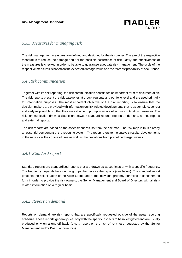

#### *5.3.3 Measures for managing risk*

The risk management measures are defined and designed by the risk owner. The aim of the respective measure is to reduce the damage and / or the possible occurrence of risk. Lastly, the effectiveness of the measures is checked in order to be able to guarantee adequate risk management. The cycle of the respective measures is based on the expected damage value and the forecast probability of occurrence.

#### *5.4 Risk communication*

Together with its risk reporting, the risk communication constitutes an important form of documentation. The risk reports present the risk categories at group, regional and portfolio level and are used primarily for information purposes. The most important objective of the risk reporting is to ensure that the decision-makers are provided with information on risk-related developments that is as complete, correct and early as possible, so that they are still able to promptly initiate effect, risk mitigation measures. The risk communication draws a distinction between standard reports, reports on demand, ad hoc reports and external reports.

The risk reports are based on the assessment results from the risk map. The risk map is thus already an essential component of the reporting system. The report refers to the analysis results, developments in the risks over the course of time as well as the deviations from predefined target values.

#### *5.4.1 Standard report*

Standard reports are standardised reports that are drawn up at set times or with a specific frequency. The frequency depends here on the groups that receive the reports (see below). The standard report presents the risk situation of the Adler Group and of the individual property portfolios in concentrated form in order to provide the risk owners, the Senior Management and Board of Directors with all riskrelated information on a regular basis.

#### *5.4.2 Report on demand*

Reports on demand are risk reports that are specifically requested outside of the usual reporting schedule. These reports generally deal only with the specific aspects to be investigated and are usually produced only on a one-off basis (e.g. a report on the risk of rent loss requested by the Senior Management and/or Board of Directors).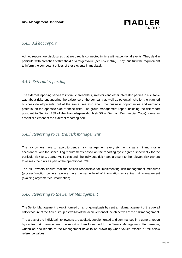

#### *5.4.3 Ad hoc report*

Ad hoc reports are disclosures that are directly connected in time with exceptional events. They deal in particular with breaches of threshold or a target value (see risk matrix). They thus fulfil the requirement to inform the competent offices of these events immediately.

#### *5.4.4 External reporting*

The external reporting serves to inform shareholders, investors and other interested parties in a suitable way about risks endangering the existence of the company as well as potential risks for the planned business developments, but at the same time also about the business opportunities and earnings potential on the opposite side of these risks. The group management report including the risk report pursuant to Section 289 of the Handelsgesetzbuch (HGB – German Commercial Code) forms an essential element of the external reporting here.

#### *5.4.5 Reporting to central risk management*

The risk owners have to report to central risk management every six months as a minimum or in accordance with the scheduling requirements based on the reporting cycle agreed specifically for the particular risk (e.g. quarterly). To this end, the individual risk maps are sent to the relevant risk owners to assess the risks as part of the operational RMP.

The risk owners ensure that the offices responsible for implementing risk management measures (process/function owners) always have the same level of information as central risk management (avoiding asymmetrical information).

#### *5.4.6 Reporting to the Senior Management*

The Senior Management is kept informed on an ongoing basis by central risk management of the overall risk exposure of the Adler Group as well as of the achievement of the objectives of the risk management.

The areas of the individual risk owners are audited, supplemented and summarised in a general report by central risk management; the report is then forwarded to the Senior Management. Furthermore, written ad hoc reports to the Management have to be drawn up when values exceed or fall below reference values.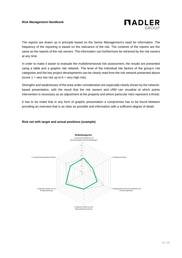

The reports are drawn up in principle based on the Senior Management's need for information. The frequency of the reporting is based on the relevance of the risk. The contents of the reports are the same as the reports of the risk owners. The information can furthermore be retrieved by the risk owners at any time.

In order to make it easier to evaluate the multidimensional risk assessment, the results are presented using a table and a graphic risk network. The level of the individual risk factors of the group's risk categories and the key project developments can be clearly read from the risk network presented above (score  $1 = \text{very low risk up to } 6 = \text{very high risk}.$ 

Strengths and weaknesses of the area under consideration are especially clearly shown by the networkbased presentation, with the result that the risk owners and cRM can visualise at which points intervention is necessary as an adjustment at the property and where particular risks represent a threat.

It has to be noted that in any form of graphic presentation a compromise has to be found between providing an overview that is as clear as possible and information with a sufficient degree of detail.

#### **Risk net with target and actual positions (example)**

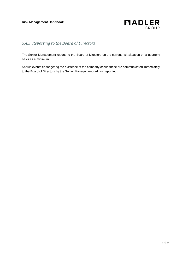

## *5.4.3 Reporting to the Board of Directors*

The Senior Management reports to the Board of Directors on the current risk situation on a quarterly basis as a minimum.

Should events endangering the existence of the company occur, these are communicated immediately to the Board of Directors by the Senior Management (ad hoc reporting).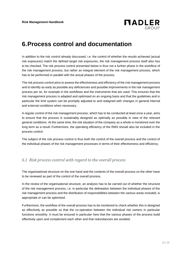

# **6.Process control and documentation**

In addition to the risk control already discussed, i.e. the control of whether the results achieved (actual risk exposures) match the defined target risk exposures, the risk management process itself also has to be checked. The risk process control presented below is thus not a further phase in the workflow of the risk management process, but rather an integral element of the risk management process, which has to be performed in parallel with the actual phases of the process.

The risk process control aims to assess the effectiveness and efficiency of the risk management process and to identify as early as possible any deficiencies and possible improvements in the risk management process per se, for example in the workflows and the instruments that are used. This ensures that the risk management process is adapted and optimised on an ongoing basis and that the guidelines and in particular the limit system can be promptly adjusted to and realigned with changes in general internal and external conditions when necessary.

A regular control of the risk management process, which has to be conducted at least once a year, aims to ensure that the process is sustainably designed as optimally as possible in view of the relevant general conditions. At the same time, the risk situation of the company as a whole is monitored over the long term as a result. Furthermore, the operating efficiency of the RMS should also be included in the process control.

The subject of the risk process control is thus both the control of the overall process and the control of the individual phases of the risk management processes in terms of their effectiveness and efficiency.

### *6.1 Risk process control with regard to the overall process*

The organisational structure on the one hand and the contents of the overall process on the other have to be reviewed as part of the control of the overall process.

In the review of the organisational structure, an analysis has to be carried out of whether the structure of the risk management process, i.e. in particular the delineation between the individual phases of the risk management process and the distribution of responsibilities between the various areas included, is appropriate or can be optimised.

Furthermore, the workflow of the overall process has to be monitored to check whether this is designed as effectively as possible so that the co-operation between the individual risk owners in particular functions smoothly. It must be ensured in particular here that the various phases of the process build effectively upon and complement each other and that redundancies are avoided.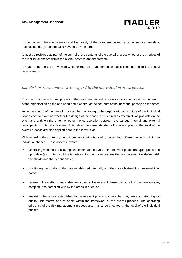

In this context, the effectiveness and the quality of the co-operation with external service providers, such as statutory auditors, also have to be monitored.

It must be reviewed as part of the control of the contents of the overall process whether the priorities of the individual phases within the overall process are set correctly.

It must furthermore be reviewed whether the risk management process continues to fulfil the legal requirements.

#### *6.2 Risk process control with regard to the individual process phases*

The control of the individual phases of the risk management process can also be divided into a control of the organisation on the one hand and a control of the contents of the individual phases on the other.

As in the control of the overall process, the monitoring of the organisational structure of the individual phases has to examine whether the design of the phase is structured as effectively as possible on the one hand and, on the other, whether the co-operation between the various internal and external participants is optimally designed. Ultimately, the same standards that are applied at the level of the overall process are also applied here to the lower level.

With regard to the contents, the risk process control is used to review four different aspects within the individual phases. These aspects involve:

- controlling whether the assumptions taken as the basis in the relevant phase are appropriate and up to date (e.g. in terms of the targets set for the risk exposures that are pursued, the defined risk thresholds and the dependencies);
- monitoring the quality of the data established internally and the data obtained from external third parties;
- reviewing the methods and instruments used in the relevant phase to ensure that they are suitable, complete and complied with by the areas in question;
- analysing the results established in the relevant phase to check that they are accurate, of good quality, informative and reusable within the framework of the overall process. The operating efficiency of the risk management process also has to be checked at the level of the individual phases.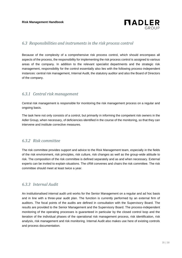

#### *6.3 Responsibilities and instruments in the risk process control*

Because of the complexity of a comprehensive risk process control, which should encompass all aspects of the process, the responsibility for implementing the risk process control is assigned to various areas of the company. In addition to the relevant specialist departments and the strategic risk management, responsibility for the control essentially also lies with the following process-independent instances: central risk management, Internal Audit, the statutory auditor and also the Board of Directors of the company.

#### *6.3.1 Central risk management*

Central risk management is responsible for monitoring the risk management process on a regular and ongoing basis.

The task here not only consists of a control, but primarily in informing the competent risk owners in the Adler Group, when necessary, of deficiencies identified in the course of the monitoring, so that they can intervene and institute corrective measures.

#### *6.3.2 Risk committee*

The risk committee provides support and advice to the Risk Management team, especially in the fields of the risk environment, risk principles, risk culture, risk changes as well as the group-wide attitude to risk. The composition of the risk committee is defined separately and as and when necessary. External experts can be invited to explain situations. The cRM convenes and chairs the risk committee. The risk committee should meet at least twice a year.

### *6.3.3 Internal Audit*

An institutionalised internal audit unit works for the Senior Management on a regular and ad hoc basis and in line with a three-year audit plan. The function is currently performed by an external firm of auditors. The focal points of the audits are defined in consultation with the Supervisory Board. The results are provided to the Senior Management and the Supervisory Board. The process-independent monitoring of the operating processes is guaranteed in particular by the closed control loop and the iteration of the individual phases of the operational risk management process, risk identification, risk analysis, risk management and risk monitoring. Internal Audit also makes use here of existing controls and process documentation.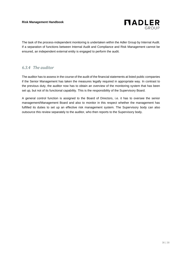

The task of the process-independent monitoring is undertaken within the Adler Group by Internal Audit. If a separation of functions between Internal Audit and Compliance and Risk Management cannot be ensured, an independent external entity is engaged to perform the audit.

### *6.3.4 The auditor*

The auditor has to assess in the course of the audit of the financial statements at listed public companies if the Senior Management has taken the measures legally required in appropriate way. In contrast to the previous duty, the auditor now has to obtain an overview of the monitoring system that has been set up, but not of its functional capability. This is the responsibility of the Supervisory Board.

A general control function is assigned to the Board of Directors, i.e. it has to oversee the senior management/Management Board and also to monitor in this respect whether the management has fulfilled its duties to set up an effective risk management system. The Supervisory body can also outsource this review separately to the auditor, who then reports to the Supervisory body.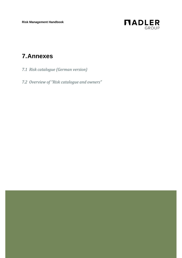**Risk Management Handbook**



# **7.Annexes**

- *7.1 Risk catalogue (German version)*
- *7.2 Overview of "Risk catalogue and owners"*